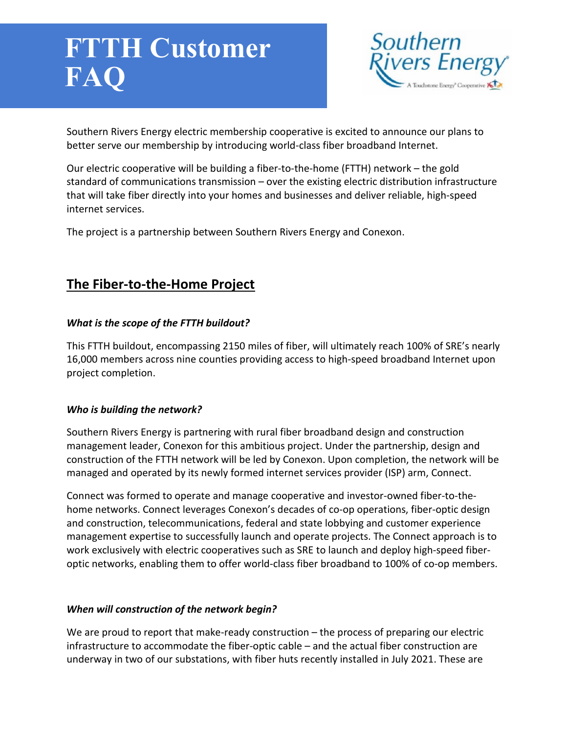# en<br>E **FTTH Customer FAQ**



Southern Rivers Energy electric membership cooperative is excited to announce our plans to better serve our membership by introducing world-class fiber broadband Internet.

Our electric cooperative will be building a fiber-to-the-home (FTTH) network – the gold standard of communications transmission – over the existing electric distribution infrastructure that will take fiber directly into your homes and businesses and deliver reliable, high-speed internet services.

The project is a partnership between Southern Rivers Energy and Conexon.

# **The Fiber-to-the-Home Project**

# *What is the scope of the FTTH buildout?*

This FTTH buildout, encompassing 2150 miles of fiber, will ultimately reach 100% of SRE's nearly 16,000 members across nine counties providing access to high-speed broadband Internet upon project completion.

## *Who is building the network?*

Southern Rivers Energy is partnering with rural fiber broadband design and construction management leader, Conexon for this ambitious project. Under the partnership, design and construction of the FTTH network will be led by Conexon. Upon completion, the network will be managed and operated by its newly formed internet services provider (ISP) arm, Connect.

Connect was formed to operate and manage cooperative and investor-owned fiber-to-thehome networks. Connect leverages Conexon's decades of co-op operations, fiber-optic design and construction, telecommunications, federal and state lobbying and customer experience management expertise to successfully launch and operate projects. The Connect approach is to work exclusively with electric cooperatives such as SRE to launch and deploy high-speed fiberoptic networks, enabling them to offer world-class fiber broadband to 100% of co-op members.

## *When will construction of the network begin?*

We are proud to report that make-ready construction – the process of preparing our electric infrastructure to accommodate the fiber-optic cable – and the actual fiber construction are underway in two of our substations, with fiber huts recently installed in July 2021. These are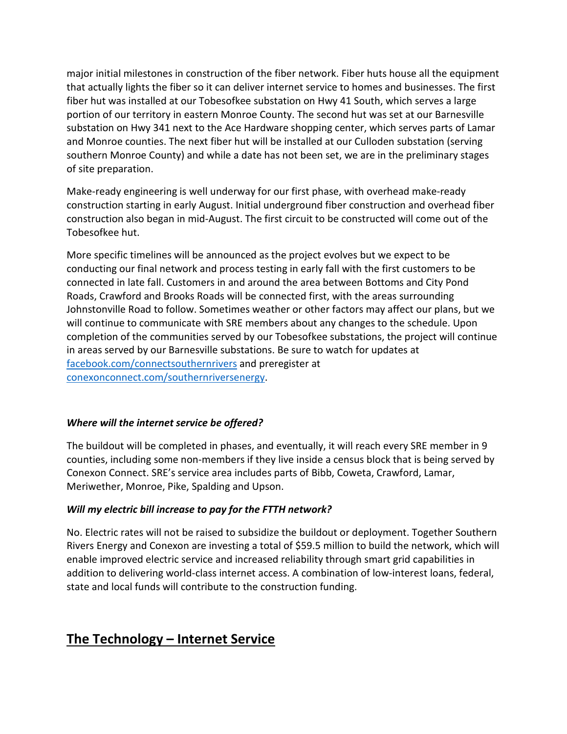major initial milestones in construction of the fiber network. Fiber huts house all the equipment that actually lights the fiber so it can deliver internet service to homes and businesses. The first fiber hut was installed at our Tobesofkee substation on Hwy 41 South, which serves a large portion of our territory in eastern Monroe County. The second hut was set at our Barnesville substation on Hwy 341 next to the Ace Hardware shopping center, which serves parts of Lamar and Monroe counties. The next fiber hut will be installed at our Culloden substation (serving southern Monroe County) and while a date has not been set, we are in the preliminary stages of site preparation.

Make-ready engineering is well underway for our first phase, with overhead make-ready construction starting in early August. Initial underground fiber construction and overhead fiber construction also began in mid-August. The first circuit to be constructed will come out of the Tobesofkee hut.

More specific timelines will be announced as the project evolves but we expect to be conducting our final network and process testing in early fall with the first customers to be connected in late fall. Customers in and around the area between Bottoms and City Pond Roads, Crawford and Brooks Roads will be connected first, with the areas surrounding Johnstonville Road to follow. Sometimes weather or other factors may affect our plans, but we will continue to communicate with SRE members about any changes to the schedule. Upon completion of the communities served by our Tobesofkee substations, the project will continue in areas served by our Barnesville substations. Be sure to watch for updates at [facebook.com/connectsouthernrivers](https://www.facebook.com/connectsouthernrivers) and preregister at [conexonconnect.com/southernriversenergy.](http://conexonconnect.com/southernriversenergy/)

## *Where will the internet service be offered?*

The buildout will be completed in phases, and eventually, it will reach every SRE member in 9 counties, including some non-members if they live inside a census block that is being served by Conexon Connect. SRE's service area includes parts of Bibb, Coweta, Crawford, Lamar, Meriwether, Monroe, Pike, Spalding and Upson.

#### *Will my electric bill increase to pay for the FTTH network?*

No. Electric rates will not be raised to subsidize the buildout or deployment. Together Southern Rivers Energy and Conexon are investing a total of \$59.5 million to build the network, which will enable improved electric service and increased reliability through smart grid capabilities in addition to delivering world-class internet access. A combination of low-interest loans, federal, state and local funds will contribute to the construction funding.

# **The Technology – Internet Service**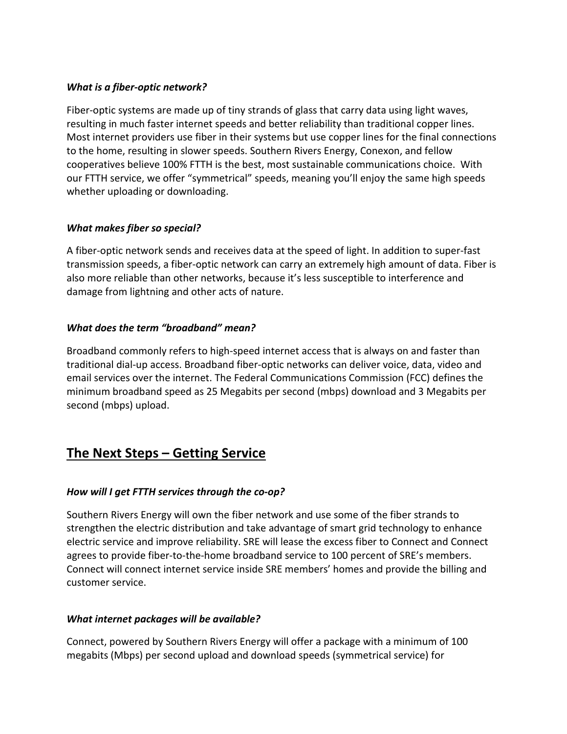#### *What is a fiber-optic network?*

Fiber-optic systems are made up of tiny strands of glass that carry data using light waves, resulting in much faster internet speeds and better reliability than traditional copper lines. Most internet providers use fiber in their systems but use copper lines for the final connections to the home, resulting in slower speeds. Southern Rivers Energy, Conexon, and fellow cooperatives believe 100% FTTH is the best, most sustainable communications choice. With our FTTH service, we offer "symmetrical" speeds, meaning you'll enjoy the same high speeds whether uploading or downloading.

#### *What makes fiber so special?*

A fiber-optic network sends and receives data at the speed of light. In addition to super-fast transmission speeds, a fiber-optic network can carry an extremely high amount of data. Fiber is also more reliable than other networks, because it's less susceptible to interference and damage from lightning and other acts of nature.

#### *What does the term "broadband" mean?*

Broadband commonly refers to high-speed internet access that is always on and faster than traditional dial-up access. Broadband fiber-optic networks can deliver voice, data, video and email services over the internet. The Federal Communications Commission (FCC) defines the minimum broadband speed as 25 Megabits per second (mbps) download and 3 Megabits per second (mbps) upload.

# **The Next Steps – Getting Service**

## *How will I get FTTH services through the co-op?*

Southern Rivers Energy will own the fiber network and use some of the fiber strands to strengthen the electric distribution and take advantage of smart grid technology to enhance electric service and improve reliability. SRE will lease the excess fiber to Connect and Connect agrees to provide fiber-to-the-home broadband service to 100 percent of SRE's members. Connect will connect internet service inside SRE members' homes and provide the billing and customer service.

#### *What internet packages will be available?*

Connect, powered by Southern Rivers Energy will offer a package with a minimum of 100 megabits (Mbps) per second upload and download speeds (symmetrical service) for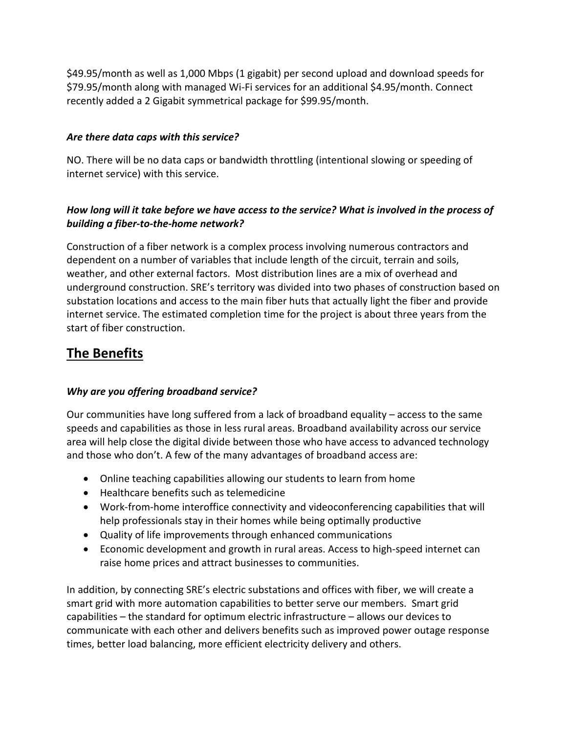\$49.95/month as well as 1,000 Mbps (1 gigabit) per second upload and download speeds for \$79.95/month along with managed Wi-Fi services for an additional \$4.95/month. Connect recently added a 2 Gigabit symmetrical package for \$99.95/month.

#### *Are there data caps with this service?*

NO. There will be no data caps or bandwidth throttling (intentional slowing or speeding of internet service) with this service.

# *How long will it take before we have access to the service? What is involved in the process of building a fiber-to-the-home network?*

Construction of a fiber network is a complex process involving numerous contractors and dependent on a number of variables that include length of the circuit, terrain and soils, weather, and other external factors. Most distribution lines are a mix of overhead and underground construction. SRE's territory was divided into two phases of construction based on substation locations and access to the main fiber huts that actually light the fiber and provide internet service. The estimated completion time for the project is about three years from the start of fiber construction.

# **The Benefits**

## *Why are you offering broadband service?*

Our communities have long suffered from a lack of broadband equality – access to the same speeds and capabilities as those in less rural areas. Broadband availability across our service area will help close the digital divide between those who have access to advanced technology and those who don't. A few of the many advantages of broadband access are:

- Online teaching capabilities allowing our students to learn from home
- Healthcare benefits such as telemedicine
- Work-from-home interoffice connectivity and videoconferencing capabilities that will help professionals stay in their homes while being optimally productive
- Quality of life improvements through enhanced communications
- Economic development and growth in rural areas. Access to high-speed internet can raise home prices and attract businesses to communities.

In addition, by connecting SRE's electric substations and offices with fiber, we will create a smart grid with more automation capabilities to better serve our members. Smart grid capabilities – the standard for optimum electric infrastructure – allows our devices to communicate with each other and delivers benefits such as improved power outage response times, better load balancing, more efficient electricity delivery and others.